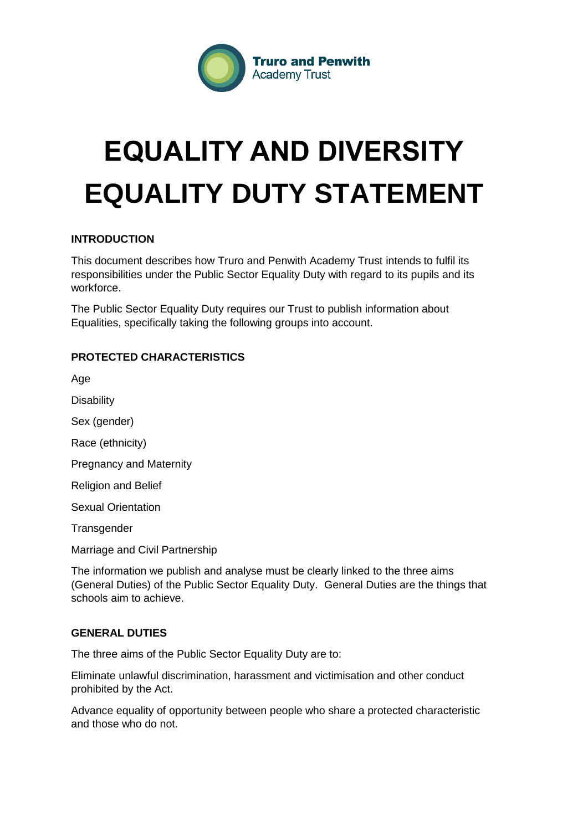

# **EQUALITY AND DIVERSITY EQUALITY DUTY STATEMENT**

# **INTRODUCTION**

This document describes how Truro and Penwith Academy Trust intends to fulfil its responsibilities under the Public Sector Equality Duty with regard to its pupils and its workforce.

The Public Sector Equality Duty requires our Trust to publish information about Equalities, specifically taking the following groups into account.

# **PROTECTED CHARACTERISTICS**

Age

**Disability** 

Sex (gender)

Race (ethnicity)

Pregnancy and Maternity

Religion and Belief

Sexual Orientation

**Transgender** 

Marriage and Civil Partnership

The information we publish and analyse must be clearly linked to the three aims (General Duties) of the Public Sector Equality Duty. General Duties are the things that schools aim to achieve.

## **GENERAL DUTIES**

The three aims of the Public Sector Equality Duty are to:

Eliminate unlawful discrimination, harassment and victimisation and other conduct prohibited by the Act.

Advance equality of opportunity between people who share a protected characteristic and those who do not.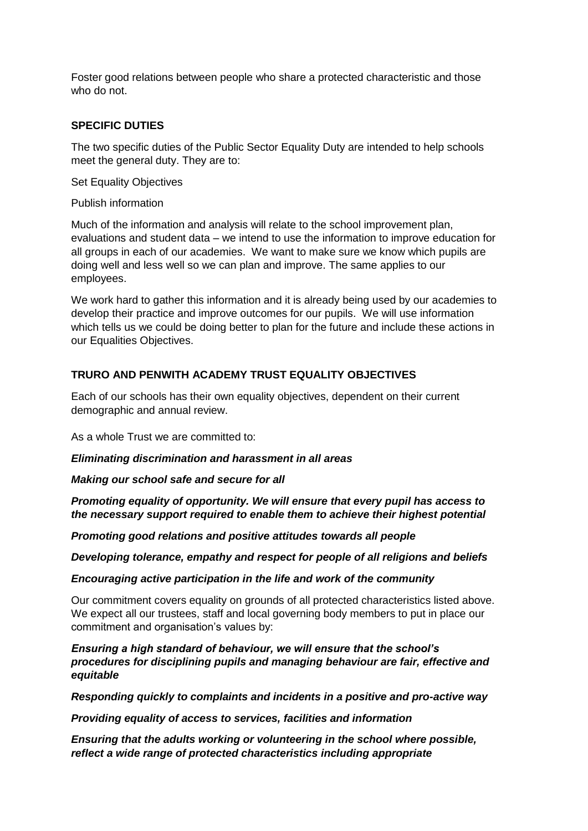Foster good relations between people who share a protected characteristic and those who do not.

#### **SPECIFIC DUTIES**

The two specific duties of the Public Sector Equality Duty are intended to help schools meet the general duty. They are to:

Set Equality Objectives

Publish information

Much of the information and analysis will relate to the school improvement plan, evaluations and student data – we intend to use the information to improve education for all groups in each of our academies. We want to make sure we know which pupils are doing well and less well so we can plan and improve. The same applies to our employees.

We work hard to gather this information and it is already being used by our academies to develop their practice and improve outcomes for our pupils. We will use information which tells us we could be doing better to plan for the future and include these actions in our Equalities Objectives.

# **TRURO AND PENWITH ACADEMY TRUST EQUALITY OBJECTIVES**

Each of our schools has their own equality objectives, dependent on their current demographic and annual review.

As a whole Trust we are committed to:

#### *Eliminating discrimination and harassment in all areas*

#### *Making our school safe and secure for all*

*Promoting equality of opportunity. We will ensure that every pupil has access to the necessary support required to enable them to achieve their highest potential*

*Promoting good relations and positive attitudes towards all people*

*Developing tolerance, empathy and respect for people of all religions and beliefs*

## *Encouraging active participation in the life and work of the community*

Our commitment covers equality on grounds of all protected characteristics listed above. We expect all our trustees, staff and local governing body members to put in place our commitment and organisation's values by:

## *Ensuring a high standard of behaviour, we will ensure that the school's procedures for disciplining pupils and managing behaviour are fair, effective and equitable*

*Responding quickly to complaints and incidents in a positive and pro-active way*

*Providing equality of access to services, facilities and information*

*Ensuring that the adults working or volunteering in the school where possible, reflect a wide range of protected characteristics including appropriate*